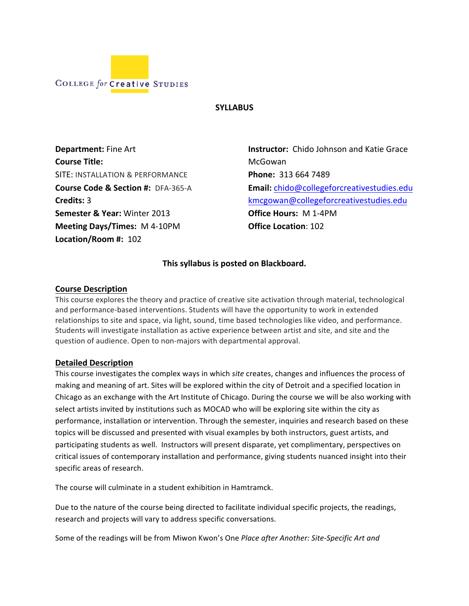

#### **SYLLABUS**

**Department:** Fine!Art **Course Title:** SITE: INSTALLATION & PERFORMANCE **Course Code & Section #: DFA-365-A Credits:** 3 **Semester & Year: Winter 2013 Meeting Days/Times:** M 4-10PM Location/Room #: 102

**Instructor:** Chido Johnson and Katie Grace McGowan**'' Phone: 313 664 7489 Email:** chido@collegeforcreativestudies.edu kmcgowan@collegeforcreativestudies.edu **Office Hours: M 1-4PM Office Location: 102** 

### This syllabus is posted on Blackboard.

#### **Course'Description**

This course explores the theory and practice of creative site activation through material, technological and performance-based interventions. Students will have the opportunity to work in extended relationships to site and space, via light, sound, time based technologies like video, and performance. Students will investigate installation as active experience between artist and site, and site and the question of audience. Open to non-majors with departmental approval.

#### **Detailed'Description**

This course investigates the complex ways in which *site* creates, changes and influences the process of making and meaning of art. Sites will be explored within the city of Detroit and a specified location in Chicago as an exchange with the Art Institute of Chicago. During the course we will be also working with select artists invited by institutions such as MOCAD who will be exploring site within the city as performance, installation or intervention. Through the semester, inquiries and research based on these topics will be discussed and presented with visual examples by both instructors, guest artists, and participating students as well. Instructors will present disparate, yet complimentary, perspectives on critical issues of contemporary installation and performance, giving students nuanced insight into their specific areas of research.

The course will culminate in a student exhibition in Hamtramck.

Due to the nature of the course being directed to facilitate individual specific projects, the readings, research and projects will vary to address specific conversations.

Some of the readings will be from Miwon Kwon's One Place after Another: Site-Specific Art and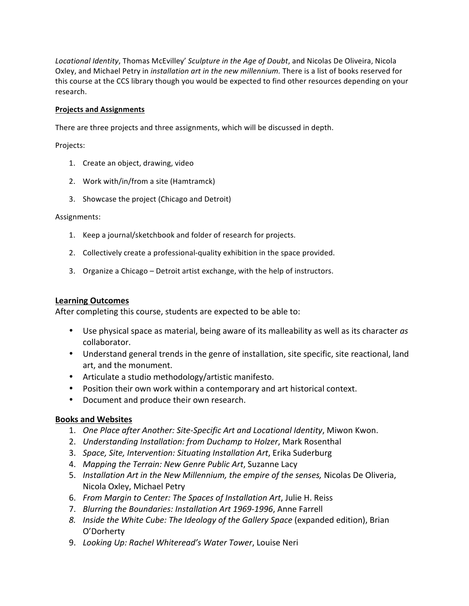Locational Identity, Thomas McEvilley' Sculpture in the Age of Doubt, and Nicolas De Oliveira, Nicola Oxley, and Michael Petry in *installation art in the new millennium*. There is a list of books reserved for this course at the CCS library though you would be expected to find other resources depending on your research.

#### **Projects'and'Assignments**

There are three projects and three assignments, which will be discussed in depth.

Projects:

- 1. Create an object, drawing, video
- 2. Work with/in/from a site (Hamtramck)
- 3. Showcase the project (Chicago and Detroit)

Assignments:

- 1. Keep a journal/sketchbook and folder of research for projects.
- 2. Collectively create a professional-quality exhibition in the space provided.
- 3. Organize a Chicago Detroit artist exchange, with the help of instructors.

#### **Learning'Outcomes**

After completing this course, students are expected to be able to:

- Use physical space as material, being aware of its malleability as well as its character *as* collaborator.
- Understand general trends in the genre of installation, site specific, site reactional, land art, and the monument.
- Articulate a studio methodology/artistic manifesto.
- Position their own work within a contemporary and art historical context.
- Document and produce their own research.

### **Books'and'Websites**

- 1. One Place after Another: Site-Specific Art and Locational Identity, Miwon Kwon.
- 2. *Understanding Installation: from Duchamp to Holzer*, Mark Rosenthal
- 3. *Space, Site, Intervention: Situating Installation Art*, Erika Suderburg
- 4. *Mapping the Terrain: New Genre Public Art*, Suzanne Lacy
- 5. *Installation Art in the New Millennium, the empire of the senses, Nicolas De Oliveria,* Nicola Oxley, Michael Petry
- 6. *From Margin to Center: The Spaces of Installation Art*, Julie H. Reiss
- 7. *Blurring the Boundaries: Installation Art 1969-1996*, Anne Farrell
- 8. *Inside the White Cube: The Ideology of the Gallery Space* (expanded edition), Brian O'Dorherty!
- 9. Looking Up: Rachel Whiteread's Water Tower, Louise Neri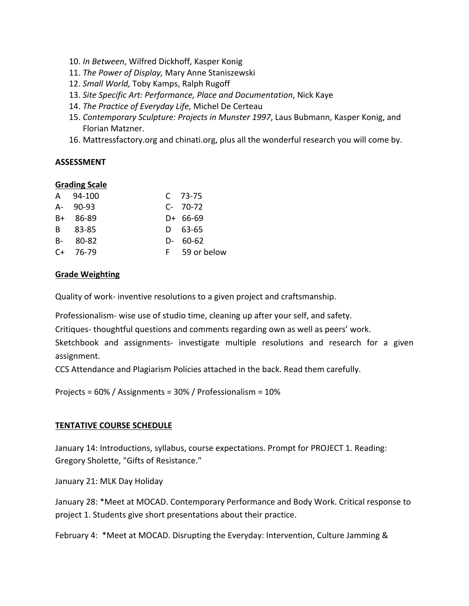- 10. In Between, Wilfred Dickhoff, Kasper Konig
- 11. The Power of Display, Mary Anne Staniszewski
- 12. Small World, Toby Kamps, Ralph Rugoff
- 13. Site Specific Art: Performance, Place and Documentation, Nick Kaye
- 14. The Practice of Everyday Life, Michel De Certeau
- 15. Contemporary Sculpture: Projects in Munster 1997, Laus Bubmann, Kasper Konig, and Florian Matzner.
- 16. Mattressfactory.org and chinati.org, plus all the wonderful research you will come by.

### **ASSESSMENT**

### **Grading Scale**

| A 94-100    | $C$ 73-75     |
|-------------|---------------|
| $A - 90-93$ | $C-70-72$     |
| $B+ 86-89$  | D+ 66-69      |
| B 83-85     | D 63-65       |
| $B - 80-82$ | $D - 60-62$   |
| $C+ 76-79$  | F 59 or below |

# **Grade'Weighting**

Quality of work-inventive resolutions to a given project and craftsmanship.

Professionalism- wise use of studio time, cleaning up after your self, and safety.

Critiques-thoughtful questions and comments regarding own as well as peers' work.

Sketchbook and assignments- investigate multiple resolutions and research for a given assignment.

CCS Attendance and Plagiarism Policies attached in the back. Read them carefully.

Projects = 60% / Assignments = 30% / Professionalism = 10%

# **TENTATIVE COURSE SCHEDULE**

January 14: Introductions, syllabus, course expectations. Prompt for PROJECT 1. Reading: Gregory Sholette, "Gifts of Resistance."

January 21: MLK Day Holiday

January 28: \*Meet at MOCAD. Contemporary Performance and Body Work. Critical response to project 1. Students give short presentations about their practice.

February 4: \*Meet at MOCAD. Disrupting the Everyday: Intervention, Culture Jamming &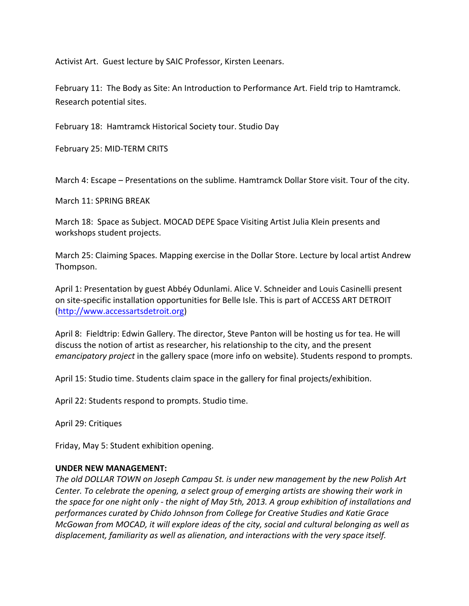Activist Art. Guest lecture by SAIC Professor, Kirsten Leenars.

February 11: The Body as Site: An Introduction to Performance Art. Field trip to Hamtramck. Research potential sites.

February 18: Hamtramck Historical Society tour. Studio Day

February 25: MID-TERM CRITS

March 4: Escape – Presentations on the sublime. Hamtramck Dollar Store visit. Tour of the city.

March 11: SPRING BREAK

March 18: Space as Subject. MOCAD DEPE Space Visiting Artist Julia Klein presents and workshops student projects.

March 25: Claiming Spaces. Mapping exercise in the Dollar Store. Lecture by local artist Andrew Thompson.!

April 1: Presentation by guest Abbéy Odunlami. Alice V. Schneider and Louis Casinelli present on site-specific installation opportunities for Belle Isle. This is part of ACCESS ART DETROIT (http://www.accessartsdetroit.org)

April 8: Fieldtrip: Edwin Gallery. The director, Steve Panton will be hosting us for tea. He will discuss the notion of artist as researcher, his relationship to the city, and the present *emancipatory project* in the gallery space (more info on website). Students respond to prompts.

April 15: Studio time. Students claim space in the gallery for final projects/exhibition.

April 22: Students respond to prompts. Studio time.

April 29: Critiques

Friday, May 5: Student exhibition opening.

#### **UNDER'NEW'MANAGEMENT:**

The old DOLLAR TOWN on Joseph Campau St. is under new management by the new Polish Art *Center. To celebrate the opening, a select group of emerging artists are showing their work in the space for one night only - the night of May 5th, 2013. A group exhibition of installations and* performances curated by Chido Johnson from College for Creative Studies and Katie Grace *McGowan from MOCAD, it will explore ideas of the city, social and cultural belonging as well as displacement, familiarity as well as alienation, and interactions with the very space itself.*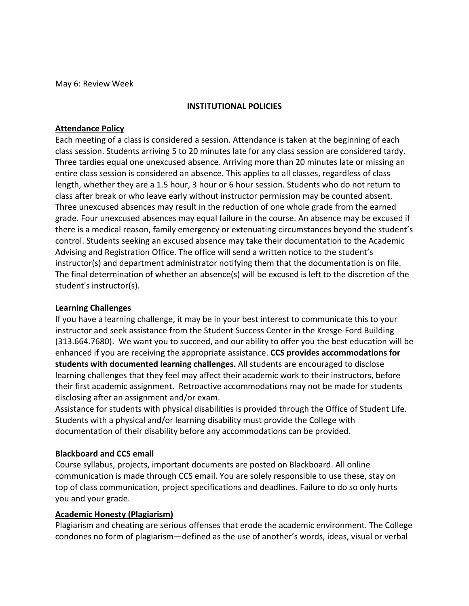May 6: Review Week

### **INSTITUTIONAL'POLICIES**

### **Attendance Policy**

Each meeting of a class is considered a session. Attendance is taken at the beginning of each class session. Students arriving 5 to 20 minutes late for any class session are considered tardy. Three tardies equal one unexcused absence. Arriving more than 20 minutes late or missing an entire class session is considered an absence. This applies to all classes, regardless of class length, whether they are a 1.5 hour, 3 hour or 6 hour session. Students who do not return to class after break or who leave early without instructor permission may be counted absent. Three unexcused absences may result in the reduction of one whole grade from the earned grade. Four unexcused absences may equal failure in the course. An absence may be excused if there is a medical reason, family emergency or extenuating circumstances beyond the student's control. Students seeking an excused absence may take their documentation to the Academic Advising and Registration Office. The office will send a written notice to the student's instructor(s) and department administrator notifying them that the documentation is on file. The final determination of whether an absence(s) will be excused is left to the discretion of the student's instructor(s).

### **Learning'Challenges**

If you have a learning challenge, it may be in your best interest to communicate this to your instructor and seek assistance from the Student Success Center in the Kresge-Ford Building (313.664.7680). We want you to succeed, and our ability to offer you the best education will be enhanced if you are receiving the appropriate assistance. **CCS provides accommodations for students with documented learning challenges.** All students are encouraged to disclose learning challenges that they feel may affect their academic work to their instructors, before their first academic assignment. Retroactive accommodations may not be made for students disclosing after an assignment and/or exam.

Assistance for students with physical disabilities is provided through the Office of Student Life. Students with a physical and/or learning disability must provide the College with documentation of their disability before any accommodations can be provided.

# **Blackboard and CCS email**

Course syllabus, projects, important documents are posted on Blackboard. All online communication is made through CCS email. You are solely responsible to use these, stay on top of class communication, project specifications and deadlines. Failure to do so only hurts you and your grade.

### **Academic Honesty (Plagiarism)**

Plagiarism and cheating are serious offenses that erode the academic environment. The College condones no form of plagiarism—defined as the use of another's words, ideas, visual or verbal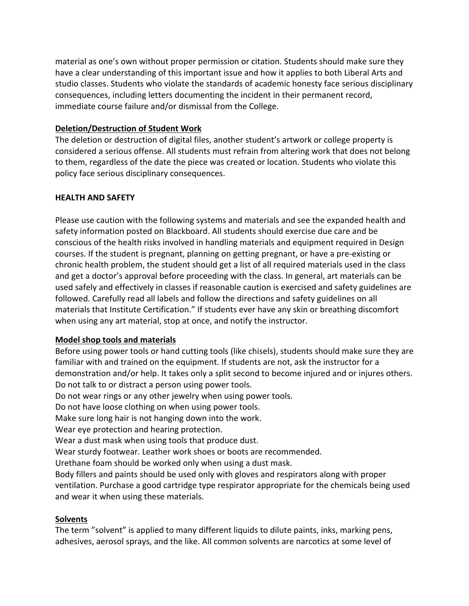material as one's own without proper permission or citation. Students should make sure they have a clear understanding of this important issue and how it applies to both Liberal Arts and studio classes. Students who violate the standards of academic honesty face serious disciplinary consequences, including letters documenting the incident in their permanent record, immediate course failure and/or dismissal from the College.

# **Deletion/Destruction'of'Student'Work**

The deletion or destruction of digital files, another student's artwork or college property is considered a serious offense. All students must refrain from altering work that does not belong to them, regardless of the date the piece was created or location. Students who violate this policy face serious disciplinary consequences.

# **HEALTH AND SAFETY**

Please use caution with the following systems and materials and see the expanded health and safety information posted on Blackboard. All students should exercise due care and be conscious of the health risks involved in handling materials and equipment required in Design courses. If the student is pregnant, planning on getting pregnant, or have a pre-existing or chronic health problem, the student should get a list of all required materials used in the class and get a doctor's approval before proceeding with the class. In general, art materials can be used safely and effectively in classes if reasonable caution is exercised and safety guidelines are followed. Carefully read all labels and follow the directions and safety guidelines on all materials that Institute Certification." If students ever have any skin or breathing discomfort when using any art material, stop at once, and notify the instructor.

# **Model'shop'tools'and'materials**

Before using power tools or hand cutting tools (like chisels), students should make sure they are familiar with and trained on the equipment. If students are not, ask the instructor for a demonstration and/or help. It takes only a split second to become injured and or injures others. Do not talk to or distract a person using power tools.

Do not wear rings or any other jewelry when using power tools.

Do not have loose clothing on when using power tools.

Make sure long hair is not hanging down into the work.

Wear eye protection and hearing protection.

Wear a dust mask when using tools that produce dust.

Wear sturdy footwear. Leather work shoes or boots are recommended.

Urethane foam should be worked only when using a dust mask.

Body fillers and paints should be used only with gloves and respirators along with proper ventilation. Purchase a good cartridge type respirator appropriate for the chemicals being used and wear it when using these materials.

# **Solvents'**

The term "solvent" is applied to many different liquids to dilute paints, inks, marking pens, adhesives, aerosol sprays, and the like. All common solvents are narcotics at some level of